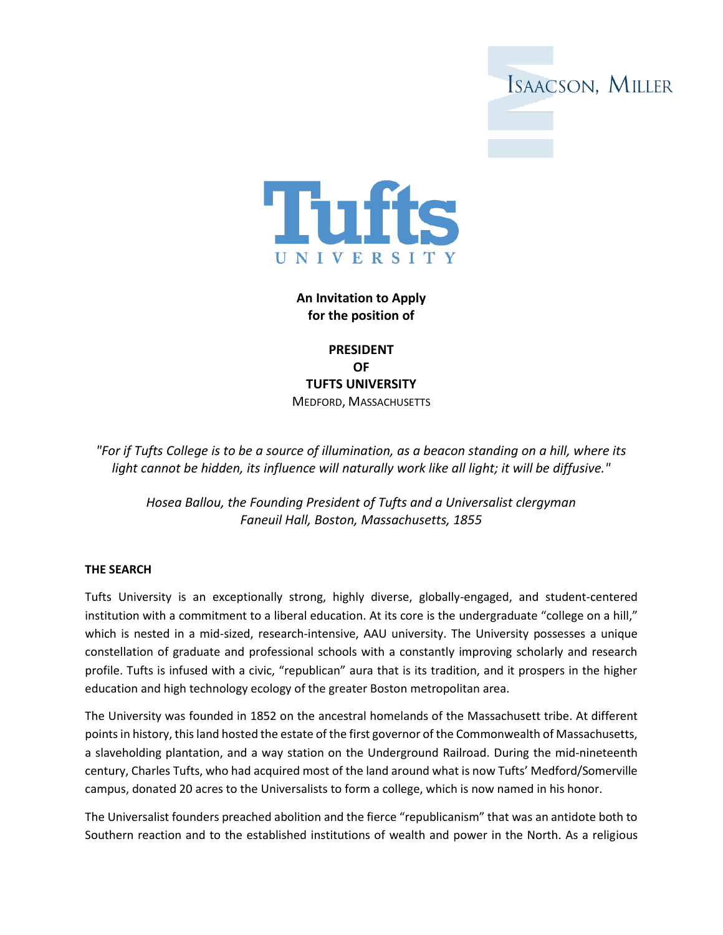



**An Invitation to Apply for the position of** 

**PRESIDENT OF TUFTS UNIVERSITY** MEDFORD, MASSACHUSETTS

*"For if Tufts College is to be a source of illumination, as a beacon standing on a hill, where its light cannot be hidden, its influence will naturally work like all light; it will be diffusive."*

*Hosea Ballou, the Founding President of Tufts and a Universalist clergyman Faneuil Hall, Boston, Massachusetts, 1855*

### **THE SEARCH**

Tufts University is an exceptionally strong, highly diverse, globally-engaged, and student-centered institution with a commitment to a liberal education. At its core is the undergraduate "college on a hill," which is nested in a mid-sized, research-intensive, AAU university. The University possesses a unique constellation of graduate and professional schools with a constantly improving scholarly and research profile. Tufts is infused with a civic, "republican" aura that is its tradition, and it prospers in the higher education and high technology ecology of the greater Boston metropolitan area.

The University was founded in 1852 on the ancestral homelands of the Massachusett tribe. At different points in history, this land hosted the estate of the first governor of the Commonwealth of Massachusetts, a slaveholding plantation, and a way station on the Underground Railroad. During the mid-nineteenth century, Charles Tufts, who had acquired most of the land around what is now Tufts' Medford/Somerville campus, donated 20 acres to the Universalists to form a college, which is now named in his honor.

The Universalist founders preached abolition and the fierce "republicanism" that was an antidote both to Southern reaction and to the established institutions of wealth and power in the North. As a religious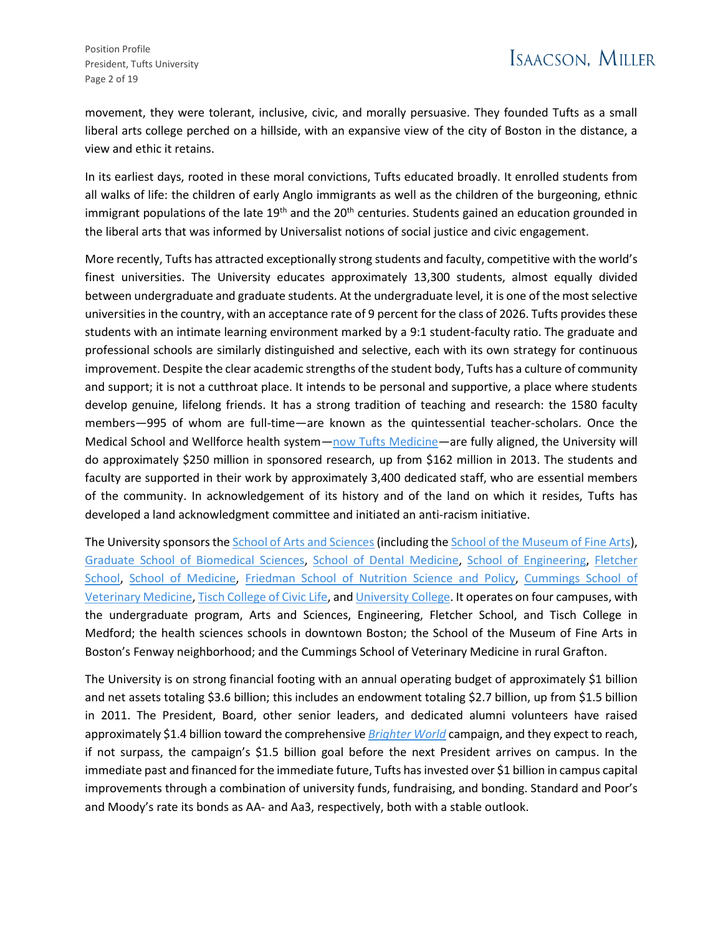movement, they were tolerant, inclusive, civic, and morally persuasive. They founded Tufts as a small liberal arts college perched on a hillside, with an expansive view of the city of Boston in the distance, a view and ethic it retains.

In its earliest days, rooted in these moral convictions, Tufts educated broadly. It enrolled students from all walks of life: the children of early Anglo immigrants as well as the children of the burgeoning, ethnic immigrant populations of the late 19<sup>th</sup> and the 20<sup>th</sup> centuries. Students gained an education grounded in the liberal arts that was informed by Universalist notions of social justice and civic engagement.

More recently, Tufts has attracted exceptionally strong students and faculty, competitive with the world's finest universities. The University educates approximately 13,300 students, almost equally divided between undergraduate and graduate students. At the undergraduate level, it is one of the most selective universities in the country, with an acceptance rate of 9 percent for the class of 2026. Tufts provides these students with an intimate learning environment marked by a 9:1 student-faculty ratio. The graduate and professional schools are similarly distinguished and selective, each with its own strategy for continuous improvement. Despite the clear academic strengths of the student body, Tufts has a culture of community and support; it is not a cutthroat place. It intends to be personal and supportive, a place where students develop genuine, lifelong friends. It has a strong tradition of teaching and research: the 1580 faculty members—995 of whom are full-time—are known as the quintessential teacher-scholars. Once the Medical School and Wellforce health system—[now Tufts Medicine](https://now.tufts.edu/2022/03/01/wellforce-health-system-changes-its-name-tufts-medicine)—are fully aligned, the University will do approximately \$250 million in sponsored research, up from \$162 million in 2013. The students and faculty are supported in their work by approximately 3,400 dedicated staff, who are essential members of the community. In acknowledgement of its history and of the land on which it resides, Tufts has developed a land acknowledgment committee and initiated an anti-racism initiative.

The University sponsors the [School of Arts and Sciences](https://as.tufts.edu/) (including th[e School of the Museum of Fine Arts\)](https://smfa.tufts.edu/), [Graduate School of Biomedical Sciences,](https://gsbs.tufts.edu/) [School of Dental Medicine,](https://dental.tufts.edu/) [School of Engineering,](https://engineering.tufts.edu/) [Fletcher](https://fletcher.tufts.edu/)  [School,](https://fletcher.tufts.edu/) [School of Medicine,](https://medicine.tufts.edu/) [Friedman School of Nutrition](https://nutrition.tufts.edu/) Science and Policy, [Cummings School of](https://vet.tufts.edu/)  [Veterinary Medicine,](https://vet.tufts.edu/) [Tisch College of Civic Life,](https://tischcollege.tufts.edu/) an[d University College.](https://universitycollege.tufts.edu/) It operates on four campuses, with the undergraduate program, Arts and Sciences, Engineering, Fletcher School, and Tisch College in Medford; the health sciences schools in downtown Boston; the School of the Museum of Fine Arts in Boston's Fenway neighborhood; and the Cummings School of Veterinary Medicine in rural Grafton.

The University is on strong financial footing with an annual operating budget of approximately \$1 billion and net assets totaling \$3.6 billion; this includes an endowment totaling \$2.7 billion, up from \$1.5 billion in 2011. The President, Board, other senior leaders, and dedicated alumni volunteers have raised approximately \$1.4 billion toward the comprehensive *[Brighter World](https://alumniandfriends.tufts.edu/brighterworld)* campaign, and they expect to reach, if not surpass, the campaign's \$1.5 billion goal before the next President arrives on campus. In the immediate past and financed for the immediate future, Tufts has invested over \$1 billion in campus capital improvements through a combination of university funds, fundraising, and bonding. Standard and Poor's and Moody's rate its bonds as AA- and Aa3, respectively, both with a stable outlook.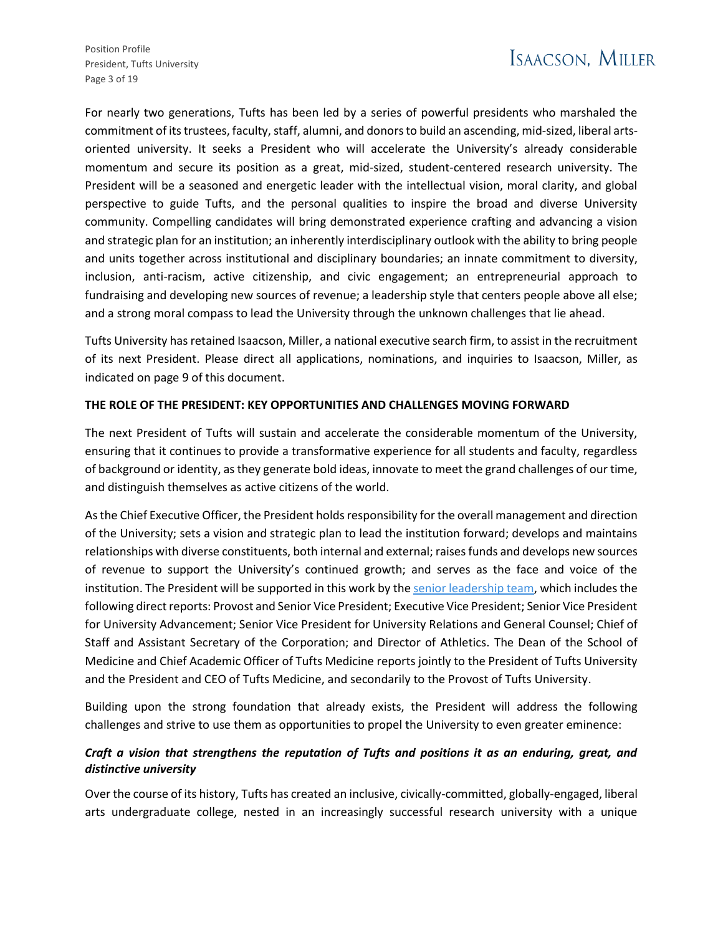Position Profile President, Tufts University Page 3 of 19

For nearly two generations, Tufts has been led by a series of powerful presidents who marshaled the commitment of its trustees, faculty, staff, alumni, and donors to build an ascending, mid-sized, liberal artsoriented university. It seeks a President who will accelerate the University's already considerable momentum and secure its position as a great, mid-sized, student-centered research university. The President will be a seasoned and energetic leader with the intellectual vision, moral clarity, and global perspective to guide Tufts, and the personal qualities to inspire the broad and diverse University community. Compelling candidates will bring demonstrated experience crafting and advancing a vision and strategic plan for an institution; an inherently interdisciplinary outlook with the ability to bring people and units together across institutional and disciplinary boundaries; an innate commitment to diversity, inclusion, anti-racism, active citizenship, and civic engagement; an entrepreneurial approach to fundraising and developing new sources of revenue; a leadership style that centers people above all else; and a strong moral compass to lead the University through the unknown challenges that lie ahead.

Tufts University has retained Isaacson, Miller, a national executive search firm, to assist in the recruitment of its next President. Please direct all applications, nominations, and inquiries to Isaacson, Miller, as indicated on page 9 of this document.

### **THE ROLE OF THE PRESIDENT: KEY OPPORTUNITIES AND CHALLENGES MOVING FORWARD**

The next President of Tufts will sustain and accelerate the considerable momentum of the University, ensuring that it continues to provide a transformative experience for all students and faculty, regardless of background or identity, as they generate bold ideas, innovate to meet the grand challenges of our time, and distinguish themselves as active citizens of the world.

As the Chief Executive Officer, the President holds responsibility for the overall management and direction of the University; sets a vision and strategic plan to lead the institution forward; develops and maintains relationships with diverse constituents, both internal and external; raises funds and develops new sources of revenue to support the University's continued growth; and serves as the face and voice of the institution. The President will be supported in this work by th[e senior leadership team,](https://www.tufts.edu/about/university-leadership) which includes the following direct reports: Provost and Senior Vice President; Executive Vice President; Senior Vice President for University Advancement; Senior Vice President for University Relations and General Counsel; Chief of Staff and Assistant Secretary of the Corporation; and Director of Athletics. The Dean of the School of Medicine and Chief Academic Officer of Tufts Medicine reports jointly to the President of Tufts University and the President and CEO of Tufts Medicine, and secondarily to the Provost of Tufts University.

Building upon the strong foundation that already exists, the President will address the following challenges and strive to use them as opportunities to propel the University to even greater eminence:

## *Craft a vision that strengthens the reputation of Tufts and positions it as an enduring, great, and distinctive university*

Over the course of its history, Tufts has created an inclusive, civically-committed, globally-engaged, liberal arts undergraduate college, nested in an increasingly successful research university with a unique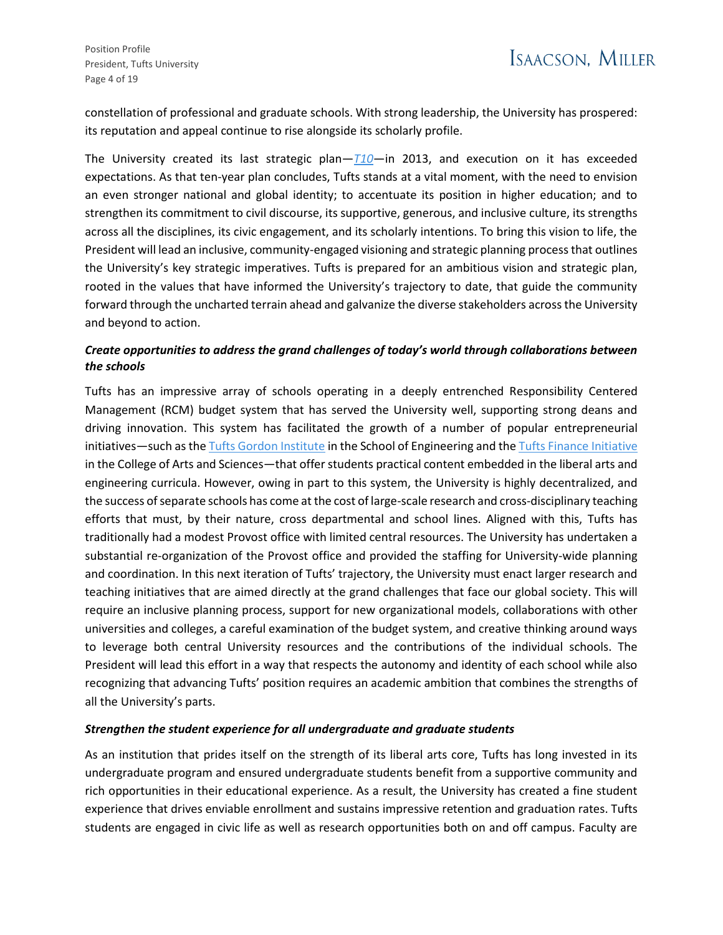constellation of professional and graduate schools. With strong leadership, the University has prospered: its reputation and appeal continue to rise alongside its scholarly profile.

The University created its last strategic plan—*[T10](https://provost.tufts.edu/strategic-planning/)*—in 2013, and execution on it has exceeded expectations. As that ten-year plan concludes, Tufts stands at a vital moment, with the need to envision an even stronger national and global identity; to accentuate its position in higher education; and to strengthen its commitment to civil discourse, its supportive, generous, and inclusive culture, its strengths across all the disciplines, its civic engagement, and its scholarly intentions. To bring this vision to life, the President will lead an inclusive, community-engaged visioning and strategic planning process that outlines the University's key strategic imperatives. Tufts is prepared for an ambitious vision and strategic plan, rooted in the values that have informed the University's trajectory to date, that guide the community forward through the uncharted terrain ahead and galvanize the diverse stakeholders across the University and beyond to action.

## *Create opportunities to address the grand challenges of today's world through collaborations between the schools*

Tufts has an impressive array of schools operating in a deeply entrenched Responsibility Centered Management (RCM) budget system that has served the University well, supporting strong deans and driving innovation. This system has facilitated the growth of a number of popular entrepreneurial initiatives—such as the [Tufts Gordon Institute](https://gordon.tufts.edu/) in the School of Engineering and th[e Tufts Finance Initiative](https://tfn.tufts.edu/get-involved/tufts-finance-initiative/) in the College of Arts and Sciences—that offer students practical content embedded in the liberal arts and engineering curricula. However, owing in part to this system, the University is highly decentralized, and the success of separate schools has come at the cost of large-scale research and cross-disciplinary teaching efforts that must, by their nature, cross departmental and school lines. Aligned with this, Tufts has traditionally had a modest Provost office with limited central resources. The University has undertaken a substantial re-organization of the Provost office and provided the staffing for University-wide planning and coordination. In this next iteration of Tufts' trajectory, the University must enact larger research and teaching initiatives that are aimed directly at the grand challenges that face our global society. This will require an inclusive planning process, support for new organizational models, collaborations with other universities and colleges, a careful examination of the budget system, and creative thinking around ways to leverage both central University resources and the contributions of the individual schools. The President will lead this effort in a way that respects the autonomy and identity of each school while also recognizing that advancing Tufts' position requires an academic ambition that combines the strengths of all the University's parts.

### *Strengthen the student experience for all undergraduate and graduate students*

As an institution that prides itself on the strength of its liberal arts core, Tufts has long invested in its undergraduate program and ensured undergraduate students benefit from a supportive community and rich opportunities in their educational experience. As a result, the University has created a fine student experience that drives enviable enrollment and sustains impressive retention and graduation rates. Tufts students are engaged in civic life as well as research opportunities both on and off campus. Faculty are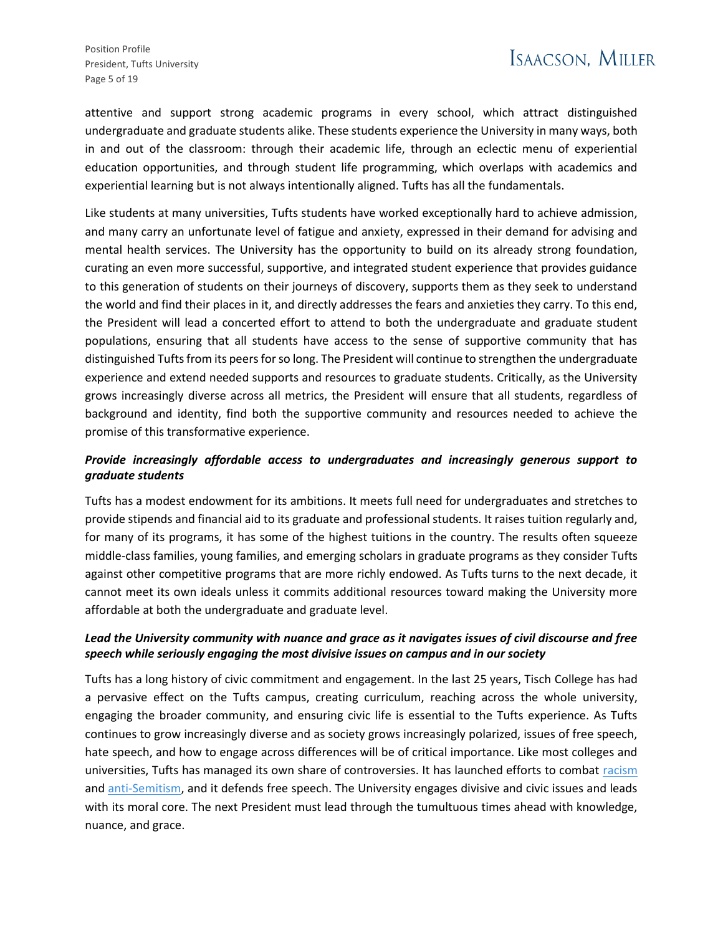attentive and support strong academic programs in every school, which attract distinguished undergraduate and graduate students alike. These students experience the University in many ways, both in and out of the classroom: through their academic life, through an eclectic menu of experiential education opportunities, and through student life programming, which overlaps with academics and experiential learning but is not always intentionally aligned. Tufts has all the fundamentals.

Like students at many universities, Tufts students have worked exceptionally hard to achieve admission, and many carry an unfortunate level of fatigue and anxiety, expressed in their demand for advising and mental health services. The University has the opportunity to build on its already strong foundation, curating an even more successful, supportive, and integrated student experience that provides guidance to this generation of students on their journeys of discovery, supports them as they seek to understand the world and find their places in it, and directly addresses the fears and anxieties they carry. To this end, the President will lead a concerted effort to attend to both the undergraduate and graduate student populations, ensuring that all students have access to the sense of supportive community that has distinguished Tufts from its peers for so long. The President will continue to strengthen the undergraduate experience and extend needed supports and resources to graduate students. Critically, as the University grows increasingly diverse across all metrics, the President will ensure that all students, regardless of background and identity, find both the supportive community and resources needed to achieve the promise of this transformative experience.

# *Provide increasingly affordable access to undergraduates and increasingly generous support to graduate students*

Tufts has a modest endowment for its ambitions. It meets full need for undergraduates and stretches to provide stipends and financial aid to its graduate and professional students. It raises tuition regularly and, for many of its programs, it has some of the highest tuitions in the country. The results often squeeze middle-class families, young families, and emerging scholars in graduate programs as they consider Tufts against other competitive programs that are more richly endowed. As Tufts turns to the next decade, it cannot meet its own ideals unless it commits additional resources toward making the University more affordable at both the undergraduate and graduate level.

## *Lead the University community with nuance and grace as it navigates issues of civil discourse and free speech while seriously engaging the most divisive issues on campus and in our society*

Tufts has a long history of civic commitment and engagement. In the last 25 years, Tisch College has had a pervasive effect on the Tufts campus, creating curriculum, reaching across the whole university, engaging the broader community, and ensuring civic life is essential to the Tufts experience. As Tufts continues to grow increasingly diverse and as society grows increasingly polarized, issues of free speech, hate speech, and how to engage across differences will be of critical importance. Like most colleges and universities, Tufts has managed its own share of controversies. It has launched efforts to combat [racism](https://president.tufts.edu/news/2021/02/17/the-path-to-becoming-an-anti-racist-institution/) and [anti-Semitism,](https://president.tufts.edu/news/2022/01/20/addressing-antisemitism-at-tufts/) and it defends free speech. The University engages divisive and civic issues and leads with its moral core. The next President must lead through the tumultuous times ahead with knowledge, nuance, and grace.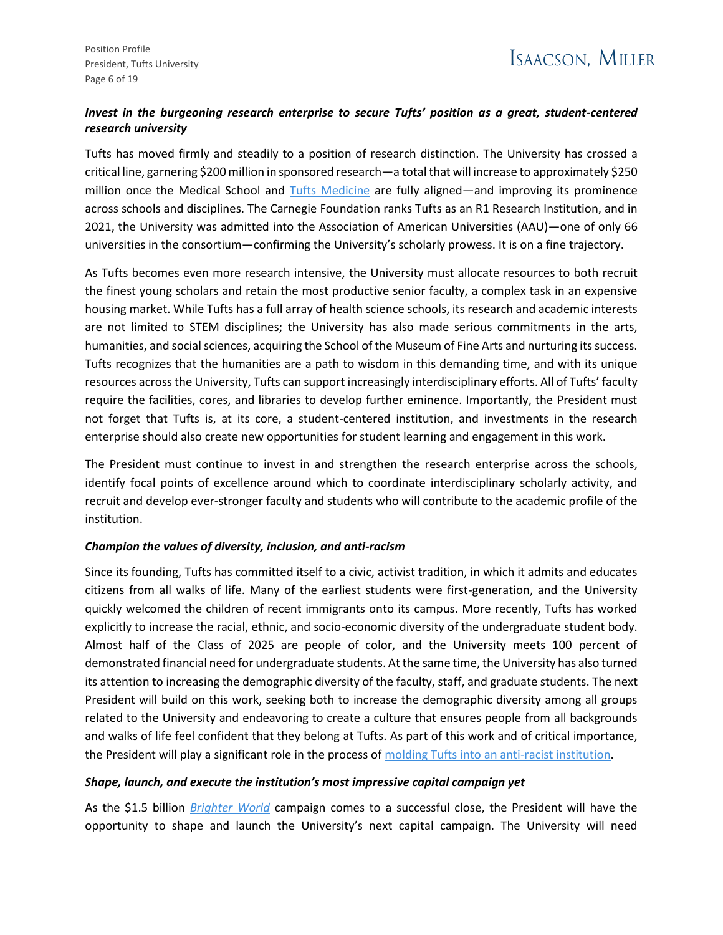## *Invest in the burgeoning research enterprise to secure Tufts' position as a great, student-centered research university*

Tufts has moved firmly and steadily to a position of research distinction. The University has crossed a critical line, garnering \$200 million in sponsored research—a total that will increase to approximately \$250 million once the Medical School and [Tufts Medicine](https://now.tufts.edu/2022/03/01/wellforce-health-system-changes-its-name-tufts-medicine) are fully aligned—and improving its prominence across schools and disciplines. The Carnegie Foundation ranks Tufts as an R1 Research Institution, and in 2021, the University was admitted into the Association of American Universities (AAU)—one of only 66 universities in the consortium—confirming the University's scholarly prowess. It is on a fine trajectory.

As Tufts becomes even more research intensive, the University must allocate resources to both recruit the finest young scholars and retain the most productive senior faculty, a complex task in an expensive housing market. While Tufts has a full array of health science schools, its research and academic interests are not limited to STEM disciplines; the University has also made serious commitments in the arts, humanities, and social sciences, acquiring the School of the Museum of Fine Arts and nurturing its success. Tufts recognizes that the humanities are a path to wisdom in this demanding time, and with its unique resources across the University, Tufts can support increasingly interdisciplinary efforts. All of Tufts' faculty require the facilities, cores, and libraries to develop further eminence. Importantly, the President must not forget that Tufts is, at its core, a student-centered institution, and investments in the research enterprise should also create new opportunities for student learning and engagement in this work.

The President must continue to invest in and strengthen the research enterprise across the schools, identify focal points of excellence around which to coordinate interdisciplinary scholarly activity, and recruit and develop ever-stronger faculty and students who will contribute to the academic profile of the institution.

### *Champion the values of diversity, inclusion, and anti-racism*

Since its founding, Tufts has committed itself to a civic, activist tradition, in which it admits and educates citizens from all walks of life. Many of the earliest students were first-generation, and the University quickly welcomed the children of recent immigrants onto its campus. More recently, Tufts has worked explicitly to increase the racial, ethnic, and socio-economic diversity of the undergraduate student body. Almost half of the Class of 2025 are people of color, and the University meets 100 percent of demonstrated financial need for undergraduate students. At the same time, the University has also turned its attention to increasing the demographic diversity of the faculty, staff, and graduate students. The next President will build on this work, seeking both to increase the demographic diversity among all groups related to the University and endeavoring to create a culture that ensures people from all backgrounds and walks of life feel confident that they belong at Tufts. As part of this work and of critical importance, the President will play a significant role in the process of [molding Tufts into an anti-racist institution.](https://president.tufts.edu/news/2021/02/17/the-path-to-becoming-an-anti-racist-institution/)

### *Shape, launch, and execute the institution's most impressive capital campaign yet*

As the \$1.5 billion *[Brighter World](https://alumniandfriends.tufts.edu/brighterworld)* campaign comes to a successful close, the President will have the opportunity to shape and launch the University's next capital campaign. The University will need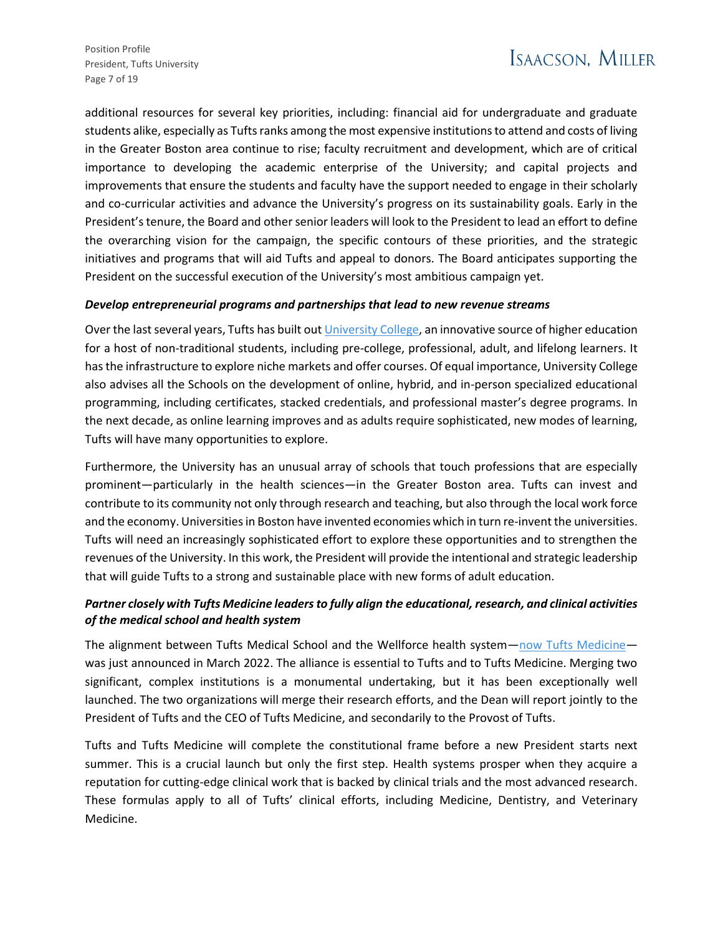Position Profile President, Tufts University Page 7 of 19

additional resources for several key priorities, including: financial aid for undergraduate and graduate students alike, especially as Tufts ranks among the most expensive institutions to attend and costs of living in the Greater Boston area continue to rise; faculty recruitment and development, which are of critical importance to developing the academic enterprise of the University; and capital projects and improvements that ensure the students and faculty have the support needed to engage in their scholarly and co-curricular activities and advance the University's progress on its sustainability goals. Early in the President's tenure, the Board and other senior leaders will look to the President to lead an effort to define the overarching vision for the campaign, the specific contours of these priorities, and the strategic initiatives and programs that will aid Tufts and appeal to donors. The Board anticipates supporting the President on the successful execution of the University's most ambitious campaign yet.

#### *Develop entrepreneurial programs and partnerships that lead to new revenue streams*

Over the last several years, Tufts has built ou[t University College,](https://universitycollege.tufts.edu/) an innovative source of higher education for a host of non-traditional students, including pre-college, professional, adult, and lifelong learners. It has the infrastructure to explore niche markets and offer courses. Of equal importance, University College also advises all the Schools on the development of online, hybrid, and in-person specialized educational programming, including certificates, stacked credentials, and professional master's degree programs. In the next decade, as online learning improves and as adults require sophisticated, new modes of learning, Tufts will have many opportunities to explore.

Furthermore, the University has an unusual array of schools that touch professions that are especially prominent—particularly in the health sciences—in the Greater Boston area. Tufts can invest and contribute to its community not only through research and teaching, but also through the local work force and the economy. Universities in Boston have invented economies which in turn re-invent the universities. Tufts will need an increasingly sophisticated effort to explore these opportunities and to strengthen the revenues of the University. In this work, the President will provide the intentional and strategic leadership that will guide Tufts to a strong and sustainable place with new forms of adult education.

## *Partner closely with Tufts Medicine leaders to fully align the educational, research, and clinical activities of the medical school and health system*

The alignment between Tufts Medical School and the Wellforce health system—[now Tufts Medicine](https://now.tufts.edu/2022/03/01/wellforce-health-system-changes-its-name-tufts-medicine) was just announced in March 2022. The alliance is essential to Tufts and to Tufts Medicine. Merging two significant, complex institutions is a monumental undertaking, but it has been exceptionally well launched. The two organizations will merge their research efforts, and the Dean will report jointly to the President of Tufts and the CEO of Tufts Medicine, and secondarily to the Provost of Tufts.

Tufts and Tufts Medicine will complete the constitutional frame before a new President starts next summer. This is a crucial launch but only the first step. Health systems prosper when they acquire a reputation for cutting-edge clinical work that is backed by clinical trials and the most advanced research. These formulas apply to all of Tufts' clinical efforts, including Medicine, Dentistry, and Veterinary Medicine.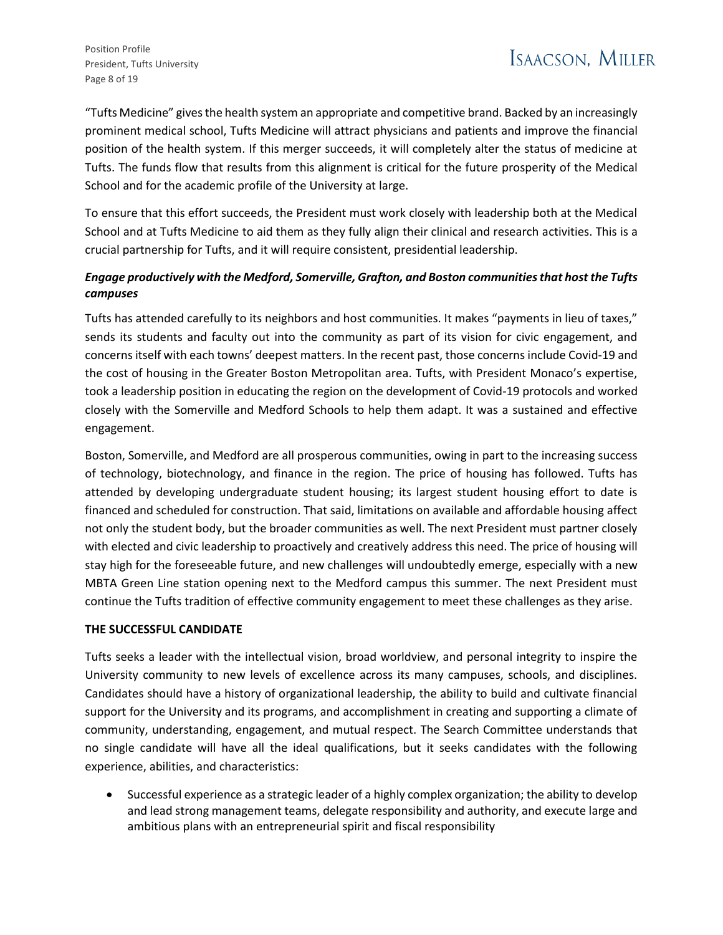"Tufts Medicine" gives the health system an appropriate and competitive brand. Backed by an increasingly prominent medical school, Tufts Medicine will attract physicians and patients and improve the financial position of the health system. If this merger succeeds, it will completely alter the status of medicine at Tufts. The funds flow that results from this alignment is critical for the future prosperity of the Medical School and for the academic profile of the University at large.

To ensure that this effort succeeds, the President must work closely with leadership both at the Medical School and at Tufts Medicine to aid them as they fully align their clinical and research activities. This is a crucial partnership for Tufts, and it will require consistent, presidential leadership.

# *Engage productively with the Medford, Somerville, Grafton, and Boston communities that host the Tufts campuses*

Tufts has attended carefully to its neighbors and host communities. It makes "payments in lieu of taxes," sends its students and faculty out into the community as part of its vision for civic engagement, and concerns itself with each towns' deepest matters. In the recent past, those concerns include Covid-19 and the cost of housing in the Greater Boston Metropolitan area. Tufts, with President Monaco's expertise, took a leadership position in educating the region on the development of Covid-19 protocols and worked closely with the Somerville and Medford Schools to help them adapt. It was a sustained and effective engagement.

Boston, Somerville, and Medford are all prosperous communities, owing in part to the increasing success of technology, biotechnology, and finance in the region. The price of housing has followed. Tufts has attended by developing undergraduate student housing; its largest student housing effort to date is financed and scheduled for construction. That said, limitations on available and affordable housing affect not only the student body, but the broader communities as well. The next President must partner closely with elected and civic leadership to proactively and creatively address this need. The price of housing will stay high for the foreseeable future, and new challenges will undoubtedly emerge, especially with a new MBTA Green Line station opening next to the Medford campus this summer. The next President must continue the Tufts tradition of effective community engagement to meet these challenges as they arise.

### **THE SUCCESSFUL CANDIDATE**

Tufts seeks a leader with the intellectual vision, broad worldview, and personal integrity to inspire the University community to new levels of excellence across its many campuses, schools, and disciplines. Candidates should have a history of organizational leadership, the ability to build and cultivate financial support for the University and its programs, and accomplishment in creating and supporting a climate of community, understanding, engagement, and mutual respect. The Search Committee understands that no single candidate will have all the ideal qualifications, but it seeks candidates with the following experience, abilities, and characteristics:

• Successful experience as a strategic leader of a highly complex organization; the ability to develop and lead strong management teams, delegate responsibility and authority, and execute large and ambitious plans with an entrepreneurial spirit and fiscal responsibility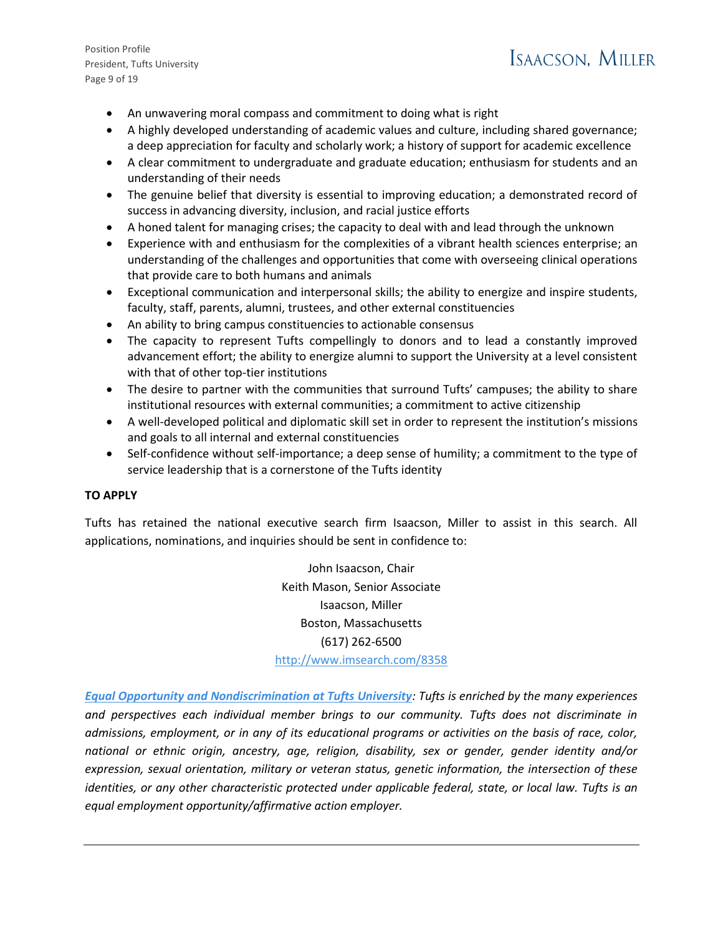Position Profile President, Tufts University Page 9 of 19

# ISAACSON. MILLER

- An unwavering moral compass and commitment to doing what is right
- A highly developed understanding of academic values and culture, including shared governance; a deep appreciation for faculty and scholarly work; a history of support for academic excellence
- A clear commitment to undergraduate and graduate education; enthusiasm for students and an understanding of their needs
- The genuine belief that diversity is essential to improving education; a demonstrated record of success in advancing diversity, inclusion, and racial justice efforts
- A honed talent for managing crises; the capacity to deal with and lead through the unknown
- Experience with and enthusiasm for the complexities of a vibrant health sciences enterprise; an understanding of the challenges and opportunities that come with overseeing clinical operations that provide care to both humans and animals
- Exceptional communication and interpersonal skills; the ability to energize and inspire students, faculty, staff, parents, alumni, trustees, and other external constituencies
- An ability to bring campus constituencies to actionable consensus
- The capacity to represent Tufts compellingly to donors and to lead a constantly improved advancement effort; the ability to energize alumni to support the University at a level consistent with that of other top-tier institutions
- The desire to partner with the communities that surround Tufts' campuses; the ability to share institutional resources with external communities; a commitment to active citizenship
- A well-developed political and diplomatic skill set in order to represent the institution's missions and goals to all internal and external constituencies
- Self-confidence without self-importance; a deep sense of humility; a commitment to the type of service leadership that is a cornerstone of the Tufts identity

### **TO APPLY**

Tufts has retained the national executive search firm Isaacson, Miller to assist in this search. All applications, nominations, and inquiries should be sent in confidence to:

> John Isaacson, Chair Keith Mason, Senior Associate Isaacson, Miller Boston, Massachusetts (617) 262-6500 <http://www.imsearch.com/8358>

*[Equal Opportunity and Nondiscrimination at Tufts University](https://oeo.tufts.edu/policies-procedures/non-discrimination-statement/): Tufts is enriched by the many experiences and perspectives each individual member brings to our community. Tufts does not discriminate in admissions, employment, or in any of its educational programs or activities on the basis of race, color, national or ethnic origin, ancestry, age, religion, disability, sex or gender, gender identity and/or expression, sexual orientation, military or veteran status, genetic information, the intersection of these identities, or any other characteristic protected under applicable federal, state, or local law. Tufts is an equal employment opportunity/affirmative action employer.*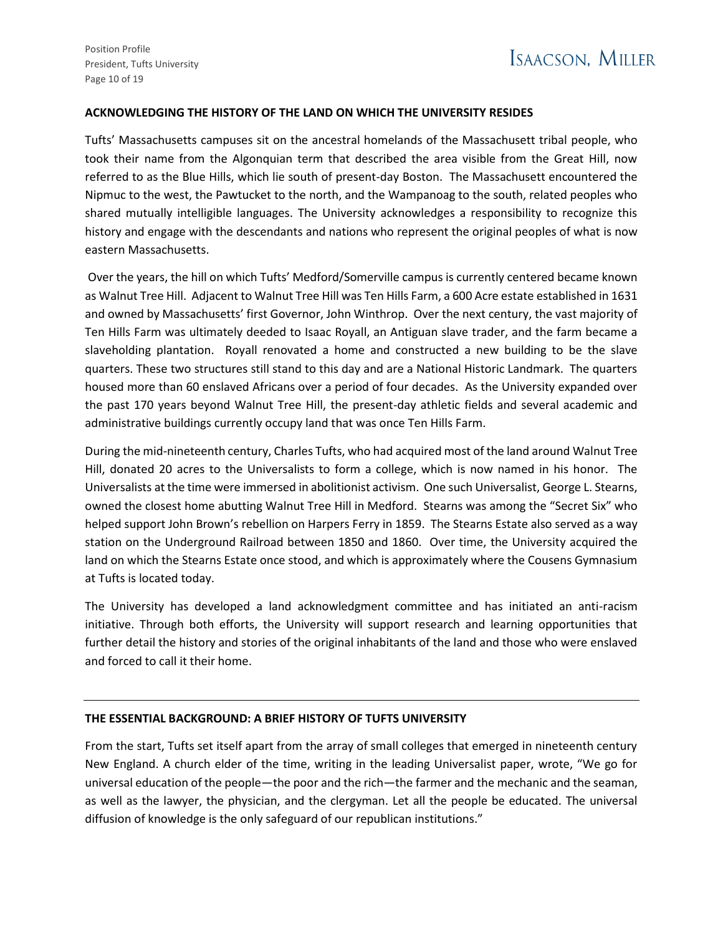#### **ACKNOWLEDGING THE HISTORY OF THE LAND ON WHICH THE UNIVERSITY RESIDES**

Tufts' Massachusetts campuses sit on the ancestral homelands of the Massachusett tribal people, who took their name from the Algonquian term that described the area visible from the Great Hill, now referred to as the Blue Hills, which lie south of present-day Boston. The Massachusett encountered the Nipmuc to the west, the Pawtucket to the north, and the Wampanoag to the south, related peoples who shared mutually intelligible languages. The University acknowledges a responsibility to recognize this history and engage with the descendants and nations who represent the original peoples of what is now eastern Massachusetts.

Over the years, the hill on which Tufts' Medford/Somerville campus is currently centered became known as Walnut Tree Hill. Adjacent to Walnut Tree Hill was Ten Hills Farm, a 600 Acre estate established in 1631 and owned by Massachusetts' first Governor, John Winthrop. Over the next century, the vast majority of Ten Hills Farm was ultimately deeded to Isaac Royall, an Antiguan slave trader, and the farm became a slaveholding plantation. Royall renovated a home and constructed a new building to be the slave quarters. These two structures still stand to this day and are a National Historic Landmark. The quarters housed more than 60 enslaved Africans over a period of four decades. As the University expanded over the past 170 years beyond Walnut Tree Hill, the present-day athletic fields and several academic and administrative buildings currently occupy land that was once Ten Hills Farm.

During the mid-nineteenth century, Charles Tufts, who had acquired most of the land around Walnut Tree Hill, donated 20 acres to the Universalists to form a college, which is now named in his honor. The Universalists at the time were immersed in abolitionist activism. One such Universalist, George L. Stearns, owned the closest home abutting Walnut Tree Hill in Medford. Stearns was among the "Secret Six" who helped support John Brown's rebellion on Harpers Ferry in 1859. The Stearns Estate also served as a way station on the Underground Railroad between 1850 and 1860. Over time, the University acquired the land on which the Stearns Estate once stood, and which is approximately where the Cousens Gymnasium at Tufts is located today.

The University has developed a land acknowledgment committee and has initiated an anti-racism initiative. Through both efforts, the University will support research and learning opportunities that further detail the history and stories of the original inhabitants of the land and those who were enslaved and forced to call it their home.

### **THE ESSENTIAL BACKGROUND: A BRIEF HISTORY OF TUFTS UNIVERSITY**

From the start, Tufts set itself apart from the array of small colleges that emerged in nineteenth century New England. A church elder of the time, writing in the leading Universalist paper, wrote, "We go for universal education of the people—the poor and the rich—the farmer and the mechanic and the seaman, as well as the lawyer, the physician, and the clergyman. Let all the people be educated. The universal diffusion of knowledge is the only safeguard of our republican institutions."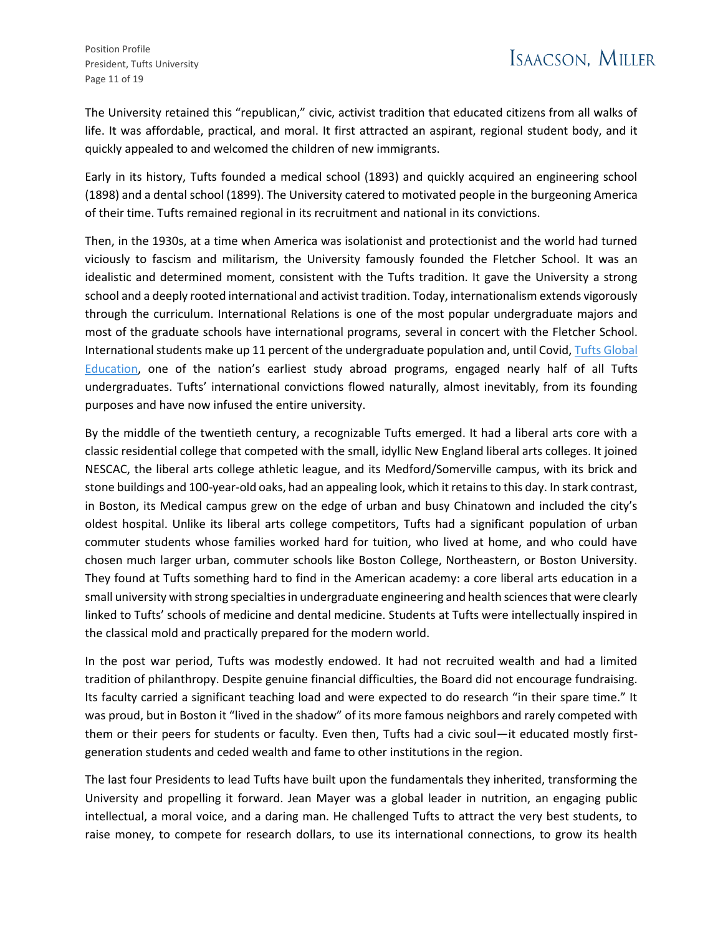The University retained this "republican," civic, activist tradition that educated citizens from all walks of life. It was affordable, practical, and moral. It first attracted an aspirant, regional student body, and it quickly appealed to and welcomed the children of new immigrants.

Early in its history, Tufts founded a medical school (1893) and quickly acquired an engineering school (1898) and a dental school (1899). The University catered to motivated people in the burgeoning America of their time. Tufts remained regional in its recruitment and national in its convictions.

Then, in the 1930s, at a time when America was isolationist and protectionist and the world had turned viciously to fascism and militarism, the University famously founded the Fletcher School. It was an idealistic and determined moment, consistent with the Tufts tradition. It gave the University a strong school and a deeply rooted international and activist tradition. Today, internationalism extends vigorously through the curriculum. International Relations is one of the most popular undergraduate majors and most of the graduate schools have international programs, several in concert with the Fletcher School. International students make up 11 percent of the undergraduate population and, until Covid, Tufts Global [Education](https://students.tufts.edu/tufts-global-education), one of the nation's earliest study abroad programs, engaged nearly half of all Tufts undergraduates. Tufts' international convictions flowed naturally, almost inevitably, from its founding purposes and have now infused the entire university.

By the middle of the twentieth century, a recognizable Tufts emerged. It had a liberal arts core with a classic residential college that competed with the small, idyllic New England liberal arts colleges. It joined NESCAC, the liberal arts college athletic league, and its Medford/Somerville campus, with its brick and stone buildings and 100-year-old oaks, had an appealing look, which it retains to this day. In stark contrast, in Boston, its Medical campus grew on the edge of urban and busy Chinatown and included the city's oldest hospital. Unlike its liberal arts college competitors, Tufts had a significant population of urban commuter students whose families worked hard for tuition, who lived at home, and who could have chosen much larger urban, commuter schools like Boston College, Northeastern, or Boston University. They found at Tufts something hard to find in the American academy: a core liberal arts education in a small university with strong specialties in undergraduate engineering and health sciences that were clearly linked to Tufts' schools of medicine and dental medicine. Students at Tufts were intellectually inspired in the classical mold and practically prepared for the modern world.

In the post war period, Tufts was modestly endowed. It had not recruited wealth and had a limited tradition of philanthropy. Despite genuine financial difficulties, the Board did not encourage fundraising. Its faculty carried a significant teaching load and were expected to do research "in their spare time." It was proud, but in Boston it "lived in the shadow" of its more famous neighbors and rarely competed with them or their peers for students or faculty. Even then, Tufts had a civic soul—it educated mostly firstgeneration students and ceded wealth and fame to other institutions in the region.

The last four Presidents to lead Tufts have built upon the fundamentals they inherited, transforming the University and propelling it forward. Jean Mayer was a global leader in nutrition, an engaging public intellectual, a moral voice, and a daring man. He challenged Tufts to attract the very best students, to raise money, to compete for research dollars, to use its international connections, to grow its health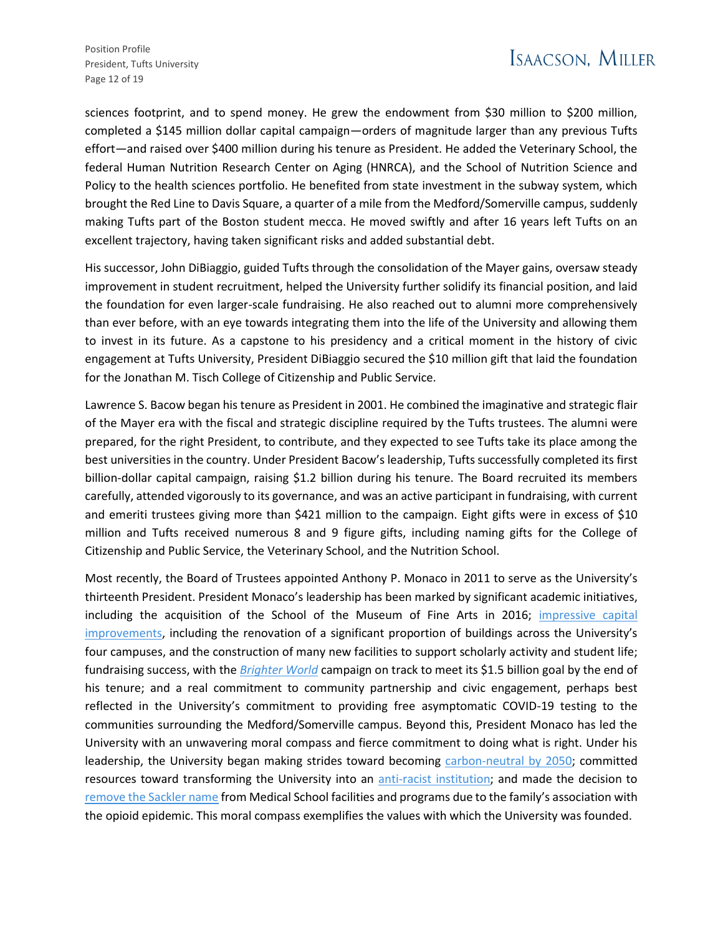sciences footprint, and to spend money. He grew the endowment from \$30 million to \$200 million, completed a \$145 million dollar capital campaign—orders of magnitude larger than any previous Tufts effort—and raised over \$400 million during his tenure as President. He added the Veterinary School, the federal Human Nutrition Research Center on Aging (HNRCA), and the School of Nutrition Science and Policy to the health sciences portfolio. He benefited from state investment in the subway system, which brought the Red Line to Davis Square, a quarter of a mile from the Medford/Somerville campus, suddenly making Tufts part of the Boston student mecca. He moved swiftly and after 16 years left Tufts on an excellent trajectory, having taken significant risks and added substantial debt.

His successor, John DiBiaggio, guided Tufts through the consolidation of the Mayer gains, oversaw steady improvement in student recruitment, helped the University further solidify its financial position, and laid the foundation for even larger-scale fundraising. He also reached out to alumni more comprehensively than ever before, with an eye towards integrating them into the life of the University and allowing them to invest in its future. As a capstone to his presidency and a critical moment in the history of civic engagement at Tufts University, President DiBiaggio secured the \$10 million gift that laid the foundation for the Jonathan M. Tisch College of Citizenship and Public Service.

Lawrence S. Bacow began his tenure as President in 2001. He combined the imaginative and strategic flair of the Mayer era with the fiscal and strategic discipline required by the Tufts trustees. The alumni were prepared, for the right President, to contribute, and they expected to see Tufts take its place among the best universities in the country. Under President Bacow's leadership, Tufts successfully completed its first billion-dollar capital campaign, raising \$1.2 billion during his tenure. The Board recruited its members carefully, attended vigorously to its governance, and was an active participant in fundraising, with current and emeriti trustees giving more than \$421 million to the campaign. Eight gifts were in excess of \$10 million and Tufts received numerous 8 and 9 figure gifts, including naming gifts for the College of Citizenship and Public Service, the Veterinary School, and the Nutrition School.

Most recently, the Board of Trustees appointed Anthony P. Monaco in 2011 to serve as the University's thirteenth President. President Monaco's leadership has been marked by significant academic initiatives, including the acquisition of the School of the Museum of Fine Arts in 2016; [impressive capital](https://access.tufts.edu/construction-capital-programs)  [improvements](https://access.tufts.edu/construction-capital-programs), including the renovation of a significant proportion of buildings across the University's four campuses, and the construction of many new facilities to support scholarly activity and student life; fundraising success, with the *[Brighter World](https://alumniandfriends.tufts.edu/brighterworld/about-campaign)* campaign on track to meet its \$1.5 billion goal by the end of his tenure; and a real commitment to community partnership and civic engagement, perhaps best reflected in the University's commitment to providing free asymptomatic COVID-19 testing to the communities surrounding the Medford/Somerville campus. Beyond this, President Monaco has led the University with an unwavering moral compass and fierce commitment to doing what is right. Under his leadership, the University began making strides toward becoming [carbon-neutral by 2050;](https://sustainability.tufts.edu/sustainability-at-tufts/institutional-environmental-initiatives/carbon-neutrality-planning-at-tufts/) committed resources toward transforming the University into an [anti-racist institution;](https://president.tufts.edu/news/2021/02/17/the-path-to-becoming-an-anti-racist-institution/) and made the decision to [remove the Sackler name](https://now.tufts.edu/articles/tufts-university-remove-sackler-name-medical-school-facilities-and-programs) from Medical School facilities and programs due to the family's association with the opioid epidemic. This moral compass exemplifies the values with which the University was founded.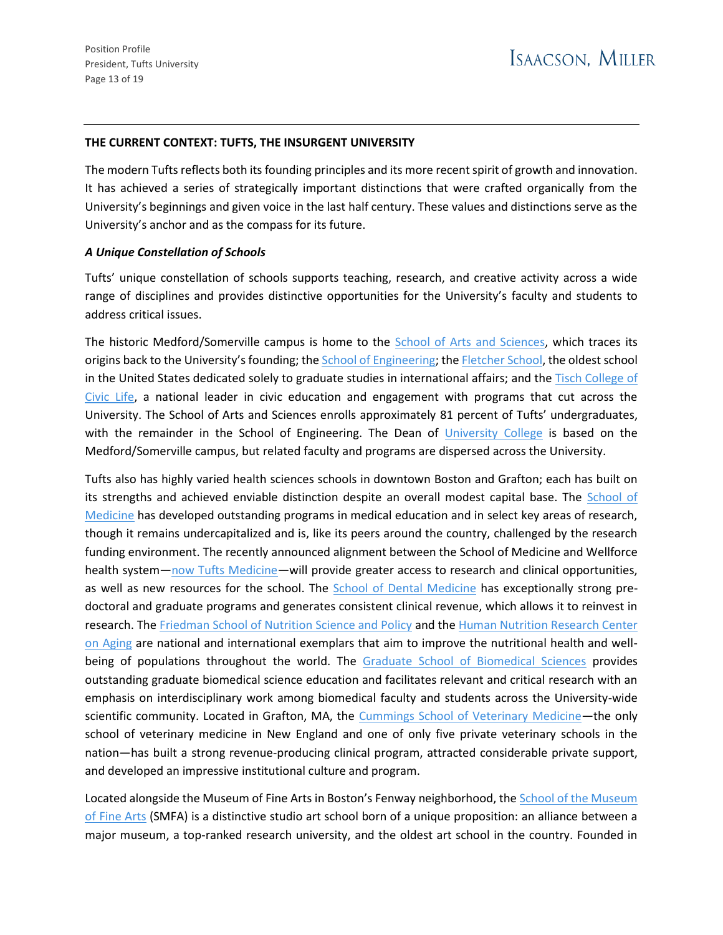#### **THE CURRENT CONTEXT: TUFTS, THE INSURGENT UNIVERSITY**

The modern Tufts reflects both its founding principles and its more recent spirit of growth and innovation. It has achieved a series of strategically important distinctions that were crafted organically from the University's beginnings and given voice in the last half century. These values and distinctions serve as the University's anchor and as the compass for its future.

#### *A Unique Constellation of Schools*

Tufts' unique constellation of schools supports teaching, research, and creative activity across a wide range of disciplines and provides distinctive opportunities for the University's faculty and students to address critical issues.

The historic Medford/Somerville campus is home to the **School of Arts and Sciences**, which traces its origins back to the University's founding; the [School of Engineering;](https://engineering.tufts.edu/) the [Fletcher School,](https://fletcher.tufts.edu/) the oldest school in the United States dedicated solely to graduate studies in international affairs; and the Tisch College of [Civic Life,](https://tischcollege.tufts.edu/) a national leader in civic education and engagement with programs that cut across the University. The School of Arts and Sciences enrolls approximately 81 percent of Tufts' undergraduates, with the remainder in the School of Engineering. The Dean of [University College](https://universitycollege.tufts.edu/) is based on the Medford/Somerville campus, but related faculty and programs are dispersed across the University.

Tufts also has highly varied health sciences schools in downtown Boston and Grafton; each has built on its strengths and achieved enviable distinction despite an overall modest capital base. The [School of](https://medicine.tufts.edu/)  [Medicine](https://medicine.tufts.edu/) has developed outstanding programs in medical education and in select key areas of research, though it remains undercapitalized and is, like its peers around the country, challenged by the research funding environment. The recently announced alignment between the School of Medicine and Wellforce health system—[now Tufts Medicine](https://now.tufts.edu/2022/03/01/wellforce-health-system-changes-its-name-tufts-medicine)—will provide greater access to research and clinical opportunities, as well as new resources for the school. The [School of Dental Medicine](https://dental.tufts.edu/) has exceptionally strong predoctoral and graduate programs and generates consistent clinical revenue, which allows it to reinvest in research. The [Friedman School of Nutrition Science and Policy](https://nutrition.tufts.edu/) and the [Human Nutrition Research Center](https://hnrca.tufts.edu/)  [on Aging](https://hnrca.tufts.edu/) are national and international exemplars that aim to improve the nutritional health and well-being of populations throughout the world. The [Graduate School of Biomedical Sciences](https://gsbs.tufts.edu/) provides outstanding graduate biomedical science education and facilitates relevant and critical research with an emphasis on interdisciplinary work among biomedical faculty and students across the University-wide scientific community. Located in Grafton, MA, the [Cummings School of Veterinary Medicine](https://vet.tufts.edu/)—the only school of veterinary medicine in New England and one of only five private veterinary schools in the nation—has built a strong revenue-producing clinical program, attracted considerable private support, and developed an impressive institutional culture and program.

Located alongside the Museum of Fine Arts in Boston's Fenway neighborhood, the **School of the Museum** [of Fine Arts](https://smfa.tufts.edu/) (SMFA) is a distinctive studio art school born of a unique proposition: an alliance between a major museum, a top-ranked research university, and the oldest art school in the country. Founded in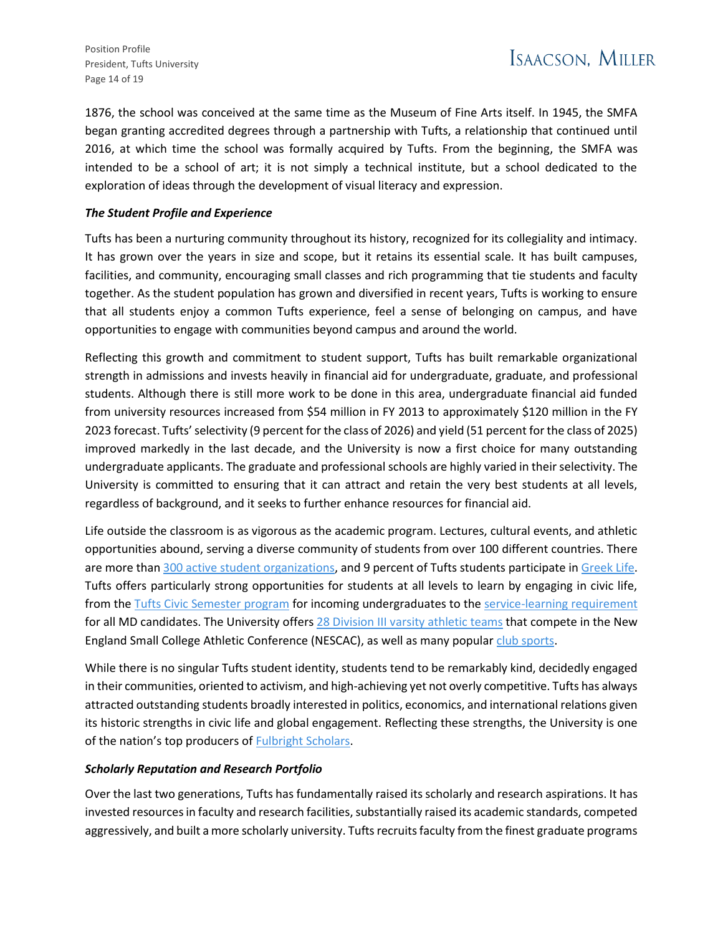1876, the school was conceived at the same time as the Museum of Fine Arts itself. In 1945, the SMFA began granting accredited degrees through a partnership with Tufts, a relationship that continued until 2016, at which time the school was formally acquired by Tufts. From the beginning, the SMFA was intended to be a school of art; it is not simply a technical institute, but a school dedicated to the exploration of ideas through the development of visual literacy and expression.

## *The Student Profile and Experience*

Tufts has been a nurturing community throughout its history, recognized for its collegiality and intimacy. It has grown over the years in size and scope, but it retains its essential scale. It has built campuses, facilities, and community, encouraging small classes and rich programming that tie students and faculty together. As the student population has grown and diversified in recent years, Tufts is working to ensure that all students enjoy a common Tufts experience, feel a sense of belonging on campus, and have opportunities to engage with communities beyond campus and around the world.

Reflecting this growth and commitment to student support, Tufts has built remarkable organizational strength in admissions and invests heavily in financial aid for undergraduate, graduate, and professional students. Although there is still more work to be done in this area, undergraduate financial aid funded from university resources increased from \$54 million in FY 2013 to approximately \$120 million in the FY 2023 forecast. Tufts' selectivity (9 percent for the class of 2026) and yield (51 percent for the class of 2025) improved markedly in the last decade, and the University is now a first choice for many outstanding undergraduate applicants. The graduate and professional schools are highly varied in their selectivity. The University is committed to ensuring that it can attract and retain the very best students at all levels, regardless of background, and it seeks to further enhance resources for financial aid.

Life outside the classroom is as vigorous as the academic program. Lectures, cultural events, and athletic opportunities abound, serving a diverse community of students from over 100 different countries. There are more tha[n 300 active student organizations,](https://admissions.tufts.edu/discover-tufts/life-at-tufts/student-organizations/) and 9 percent of Tufts students participate i[n Greek Life.](https://students.tufts.edu/student-affairs/residential-life/campus-housing/fraternity-and-sorority-life) Tufts offers particularly strong opportunities for students at all levels to learn by engaging in civic life, from the [Tufts Civic Semester program](https://tischcollege.tufts.edu/education/tufts-civic-semester) for incoming undergraduates to the [service-learning requirement](https://medicine.tufts.edu/local-global-engagement/tusm-community/community-service-learning/community-service-curricular-requirements) for all MD candidates. The University offers [28 Division III varsity athletic teams](https://www.gotuftsjumbos.com/landing/index) that compete in the New England Small College Athletic Conference (NESCAC), as well as many popula[r club sports.](https://www.gotuftsjumbos.com/information/Club_Sports_Home/Index)

While there is no singular Tufts student identity, students tend to be remarkably kind, decidedly engaged in their communities, oriented to activism, and high-achieving yet not overly competitive. Tufts has always attracted outstanding students broadly interested in politics, economics, and international relations given its historic strengths in civic life and global engagement. Reflecting these strengths, the University is one of the nation's top producers of [Fulbright Scholars.](https://now.tufts.edu/2022/03/02/11-tufts-students-and-recent-alumni-nab-fulbright-scholarships)

### *Scholarly Reputation and Research Portfolio*

Over the last two generations, Tufts has fundamentally raised its scholarly and research aspirations. It has invested resources in faculty and research facilities, substantially raised its academic standards, competed aggressively, and built a more scholarly university. Tufts recruits faculty from the finest graduate programs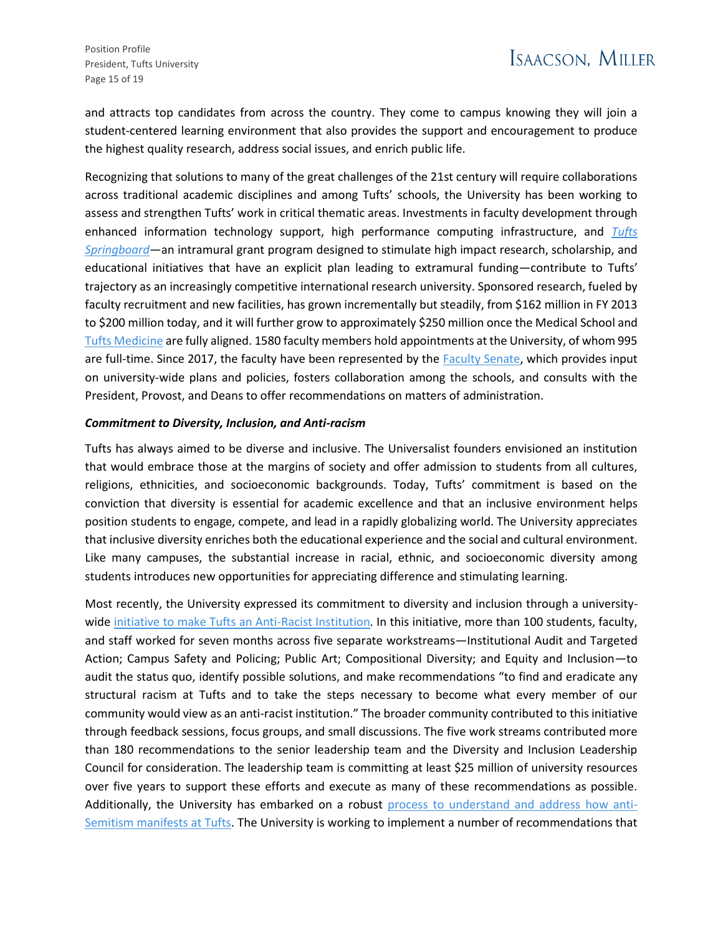and attracts top candidates from across the country. They come to campus knowing they will join a student-centered learning environment that also provides the support and encouragement to produce the highest quality research, address social issues, and enrich public life.

Recognizing that solutions to many of the great challenges of the 21st century will require collaborations across traditional academic disciplines and among Tufts' schools, the University has been working to assess and strengthen Tufts' work in critical thematic areas. Investments in faculty development through enhanced information technology support, high performance computing infrastructure, and *[Tufts](https://viceprovost.tufts.edu/tufts-springboard)  [Springboard](https://viceprovost.tufts.edu/tufts-springboard)*—an intramural grant program designed to stimulate high impact research, scholarship, and educational initiatives that have an explicit plan leading to extramural funding—contribute to Tufts' trajectory as an increasingly competitive international research university. Sponsored research, fueled by faculty recruitment and new facilities, has grown incrementally but steadily, from \$162 million in FY 2013 to \$200 million today, and it will further grow to approximately \$250 million once the Medical School and [Tufts Medicine](https://now.tufts.edu/2022/03/01/wellforce-health-system-changes-its-name-tufts-medicine) are fully aligned. 1580 faculty members hold appointments at the University, of whom 995 are full-time. Since 2017, the faculty have been represented by the [Faculty Senate,](https://facultysenate.tufts.edu/) which provides input on university-wide plans and policies, fosters collaboration among the schools, and consults with the President, Provost, and Deans to offer recommendations on matters of administration.

#### *Commitment to Diversity, Inclusion, and Anti-racism*

Tufts has always aimed to be diverse and inclusive. The Universalist founders envisioned an institution that would embrace those at the margins of society and offer admission to students from all cultures, religions, ethnicities, and socioeconomic backgrounds. Today, Tufts' commitment is based on the conviction that diversity is essential for academic excellence and that an inclusive environment helps position students to engage, compete, and lead in a rapidly globalizing world. The University appreciates that inclusive diversity enriches both the educational experience and the social and cultural environment. Like many campuses, the substantial increase in racial, ethnic, and socioeconomic diversity among students introduces new opportunities for appreciating difference and stimulating learning.

Most recently, the University expressed its commitment to diversity and inclusion through a universitywide [initiative to make Tufts an Anti-Racist Institution.](https://president.tufts.edu/news/2021/02/17/the-path-to-becoming-an-anti-racist-institution/) In this initiative, more than 100 students, faculty, and staff worked for seven months across five separate workstreams—Institutional Audit and Targeted Action; Campus Safety and Policing; Public Art; Compositional Diversity; and Equity and Inclusion—to audit the status quo, identify possible solutions, and make recommendations "to find and eradicate any structural racism at Tufts and to take the steps necessary to become what every member of our community would view as an anti-racist institution." The broader community contributed to this initiative through feedback sessions, focus groups, and small discussions. The five work streams contributed more than 180 recommendations to the senior leadership team and the Diversity and Inclusion Leadership Council for consideration. The leadership team is committing at least \$25 million of university resources over five years to support these efforts and execute as many of these recommendations as possible. Additionally, the University has embarked on a robust [process to understand and address how anti-](https://president.tufts.edu/news/2022/01/20/addressing-antisemitism-at-tufts/)[Semitism manifests at Tufts.](https://president.tufts.edu/news/2022/01/20/addressing-antisemitism-at-tufts/) The University is working to implement a number of recommendations that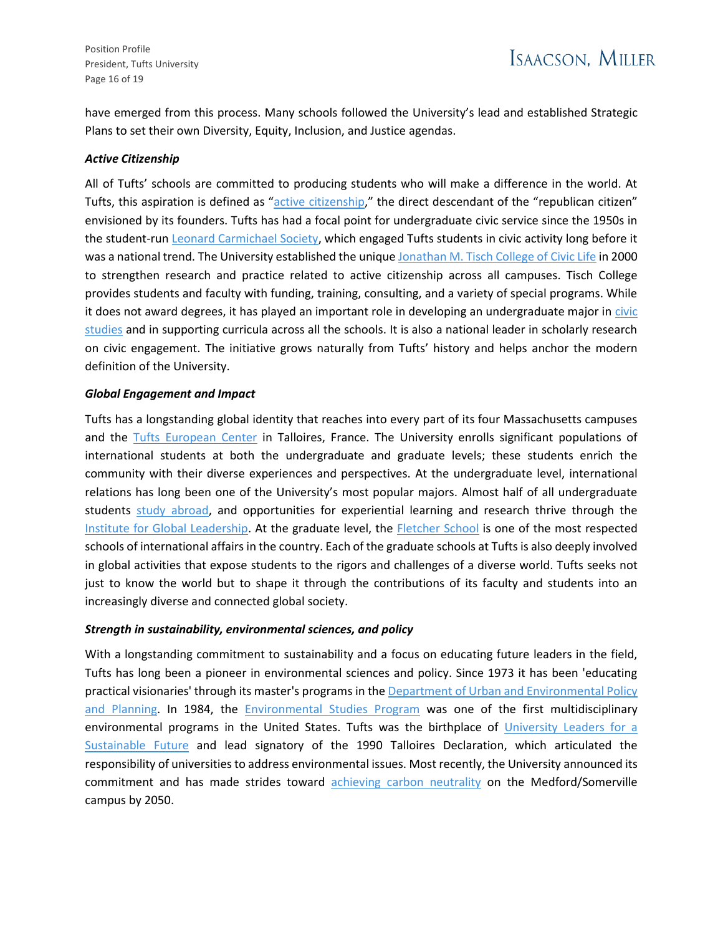Position Profile President, Tufts University Page 16 of 19

have emerged from this process. Many schools followed the University's lead and established Strategic Plans to set their own Diversity, Equity, Inclusion, and Justice agendas.

#### *Active Citizenship*

All of Tufts' schools are committed to producing students who will make a difference in the world. At Tufts, this aspiration is defined as "[active citizenship](https://provost.tufts.edu/active-citizenship/)," the direct descendant of the "republican citizen" envisioned by its founders. Tufts has had a focal point for undergraduate civic service since the 1950s in the student-run [Leonard Carmichael Society,](https://tuftslcs.com/) which engaged Tufts students in civic activity long before it was a national trend. The University established the uniqu[e Jonathan M. Tisch College of Civic Life](https://tischcollege.tufts.edu/) in 2000 to strengthen research and practice related to active citizenship across all campuses. Tisch College provides students and faculty with funding, training, consulting, and a variety of special programs. While it does not award degrees, it has played an important role in developing an undergraduate major in civic [studies](https://tischcollege.tufts.edu/civic-studies) and in supporting curricula across all the schools. It is also a national leader in scholarly research on civic engagement. The initiative grows naturally from Tufts' history and helps anchor the modern definition of the University.

#### *Global Engagement and Impact*

Tufts has a longstanding global identity that reaches into every part of its four Massachusetts campuses and the [Tufts European Center](https://europeancenter.tufts.edu/) in Talloires, France. The University enrolls significant populations of international students at both the undergraduate and graduate levels; these students enrich the community with their diverse experiences and perspectives. At the undergraduate level, international relations has long been one of the University's most popular majors. Almost half of all undergraduate students [study abroad,](https://global.tufts.edu/students/study-abroad) and opportunities for experiential learning and research thrive through the [Institute for Global Leadership.](https://www.tuftsgloballeadership.org/) At the graduate level, the [Fletcher School](https://fletcher.tufts.edu/) is one of the most respected schools of international affairs in the country. Each of the graduate schools at Tufts is also deeply involved in global activities that expose students to the rigors and challenges of a diverse world. Tufts seeks not just to know the world but to shape it through the contributions of its faculty and students into an increasingly diverse and connected global society.

#### *Strength in sustainability, environmental sciences, and policy*

With a longstanding commitment to sustainability and a focus on educating future leaders in the field, Tufts has long been a pioneer in environmental sciences and policy. Since 1973 it has been 'educating practical visionaries' through its master's programs in the Department of Urban and Environmental Policy [and Planning.](https://as.tufts.edu/uep/) In 1984, the [Environmental Studies Program](https://as.tufts.edu/environmentalstudies/) was one of the first multidisciplinary environmental programs in the United States. Tufts was the birthplace of [University Leaders for a](https://ulsf.org/)  [Sustainable Future](https://ulsf.org/) and lead signatory of the 1990 Talloires Declaration, which articulated the responsibility of universities to address environmental issues. Most recently, the University announced its commitment and has made strides toward [achieving carbon neutrality](https://sustainability.tufts.edu/sustainability-at-tufts/institutional-environmental-initiatives/carbon-neutrality-planning-at-tufts/) on the Medford/Somerville campus by 2050.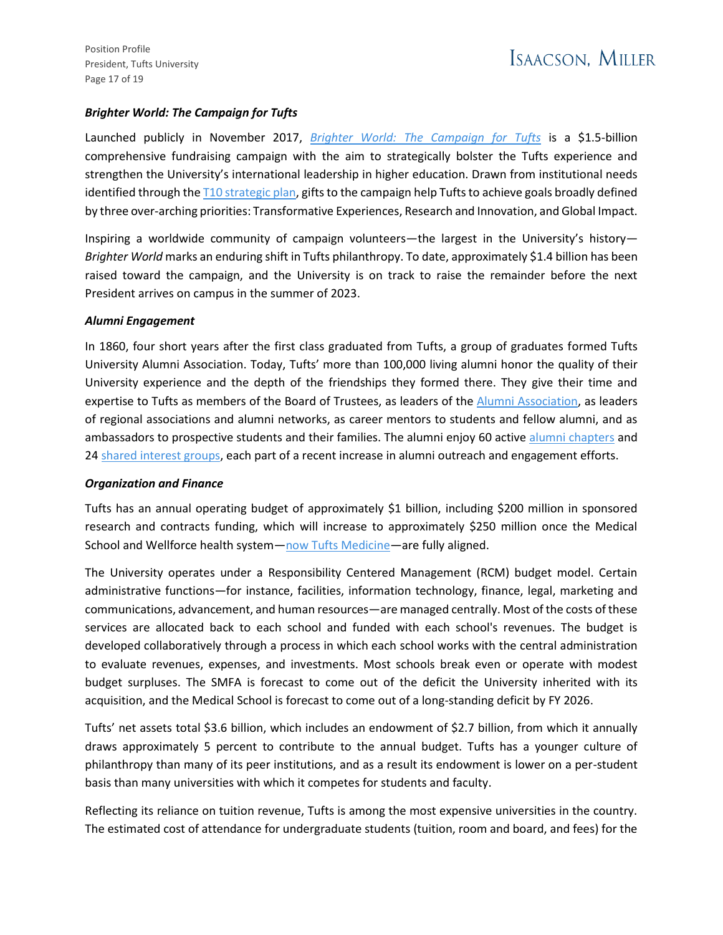## *Brighter World: The Campaign for Tufts*

Launched publicly in November 2017, *[Brighter World: The Campaign for Tufts](https://alumniandfriends.tufts.edu/brighterworld/about-campaign)* is a \$1.5-billion comprehensive fundraising campaign with the aim to strategically bolster the Tufts experience and strengthen the University's international leadership in higher education. Drawn from institutional needs identified through th[e T10 strategic plan,](https://provost.tufts.edu/wp-content/uploads/Tufts-Strategic-Plan-Full-Report-web.pdf) gifts to the campaign help Tufts to achieve goals broadly defined by three over-arching priorities: Transformative Experiences, Research and Innovation, and Global Impact.

Inspiring a worldwide community of campaign volunteers—the largest in the University's history— *Brighter World* marks an enduring shift in Tufts philanthropy. To date, approximately \$1.4 billion has been raised toward the campaign, and the University is on track to raise the remainder before the next President arrives on campus in the summer of 2023.

### *Alumni Engagement*

In 1860, four short years after the first class graduated from Tufts, a group of graduates formed Tufts University Alumni Association. Today, Tufts' more than 100,000 living alumni honor the quality of their University experience and the depth of the friendships they formed there. They give their time and expertise to Tufts as members of the Board of Trustees, as leaders of the [Alumni Association,](https://alumniandfriends.tufts.edu/) as leaders of regional associations and alumni networks, as career mentors to students and fellow alumni, and as ambassadors to prospective students and their families. The alumni enjoy 60 active [alumni chapters](https://alumniandfriends.tufts.edu/join-our-community/regional-chapters) and 24 [shared interest groups,](https://alumniandfriends.tufts.edu/join-our-community/shared-interest-groups) each part of a recent increase in alumni outreach and engagement efforts.

### *Organization and Finance*

Tufts has an annual operating budget of approximately \$1 billion, including \$200 million in sponsored research and contracts funding, which will increase to approximately \$250 million once the Medical School and Wellforce health system—[now Tufts Medicine](https://now.tufts.edu/articles/wellforce-health-system-changes-its-name-tufts-medicine)—are fully aligned.

The University operates under a Responsibility Centered Management (RCM) budget model. Certain administrative functions—for instance, facilities, information technology, finance, legal, marketing and communications, advancement, and human resources—are managed centrally. Most of the costs of these services are allocated back to each school and funded with each school's revenues. The budget is developed collaboratively through a process in which each school works with the central administration to evaluate revenues, expenses, and investments. Most schools break even or operate with modest budget surpluses. The SMFA is forecast to come out of the deficit the University inherited with its acquisition, and the Medical School is forecast to come out of a long-standing deficit by FY 2026.

Tufts' net assets total \$3.6 billion, which includes an endowment of \$2.7 billion, from which it annually draws approximately 5 percent to contribute to the annual budget. Tufts has a younger culture of philanthropy than many of its peer institutions, and as a result its endowment is lower on a per-student basis than many universities with which it competes for students and faculty.

Reflecting its reliance on tuition revenue, Tufts is among the most expensive universities in the country. The estimated cost of attendance for undergraduate students (tuition, room and board, and fees) for the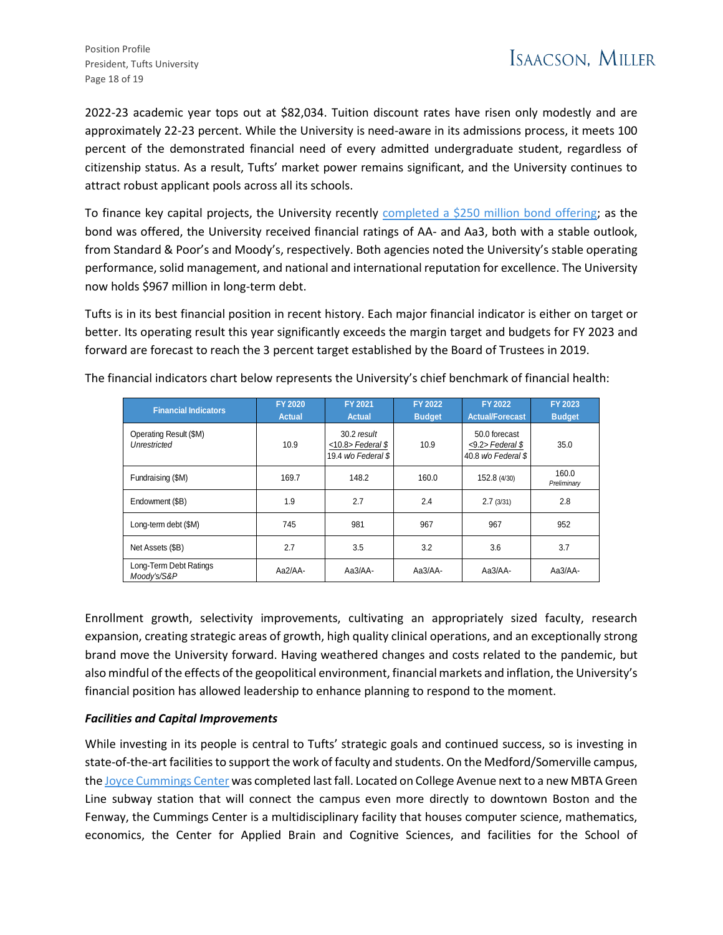Position Profile President, Tufts University Page 18 of 19

2022-23 academic year tops out at \$82,034. Tuition discount rates have risen only modestly and are approximately 22-23 percent. While the University is need-aware in its admissions process, it meets 100 percent of the demonstrated financial need of every admitted undergraduate student, regardless of citizenship status. As a result, Tufts' market power remains significant, and the University continues to attract robust applicant pools across all its schools.

To finance key capital projects, the University recently [completed a \\$250 million bond offering;](https://now.tufts.edu/articles/tufts-issues-250-million-bonds-build-new-housing-enhance-infrastructure) as the bond was offered, the University received financial ratings of AA- and Aa3, both with a stable outlook, from Standard & Poor's and Moody's, respectively. Both agencies noted the University's stable operating performance, solid management, and national and international reputation for excellence. The University now holds \$967 million in long-term debt.

Tufts is in its best financial position in recent history. Each major financial indicator is either on target or better. Its operating result this year significantly exceeds the margin target and budgets for FY 2023 and forward are forecast to reach the 3 percent target established by the Board of Trustees in 2019.

| <b>Financial Indicators</b>            | <b>FY 2020</b><br><b>Actual</b> | FY 2021<br><b>Actual</b>                                  | <b>FY 2022</b><br><b>Budget</b> | <b>FY 2022</b><br><b>Actual/Forecast</b>                   | <b>FY 2023</b><br><b>Budget</b> |
|----------------------------------------|---------------------------------|-----------------------------------------------------------|---------------------------------|------------------------------------------------------------|---------------------------------|
| Operating Result (\$M)<br>Unrestricted | 10.9                            | 30.2 result<br>$<$ 10.8> Federal \$<br>19.4 wo Federal \$ | 10.9                            | 50.0 forecast<br>$<9.2$ > Federal \$<br>40.8 wo Federal \$ | 35.0                            |
| Fundraising (\$M)                      | 169.7                           | 148.2                                                     | 160.0                           | 152.8 (4/30)                                               | 160.0<br>Preliminary            |
| Endowment (\$B)                        | 1.9                             | 2.7                                                       | 2.4                             | 2.7(3/31)                                                  | 2.8                             |
| Long-term debt (\$M)                   | 745                             | 981                                                       | 967                             | 967                                                        | 952                             |
| Net Assets (\$B)                       | 2.7                             | 3.5                                                       | 3.2                             | 3.6                                                        | 3.7                             |
| Long-Term Debt Ratings<br>Moody's/S&P  | $Aa2/AA-$                       | Aa3/AA-                                                   | Aa3/AA-                         | Aa3/AA-                                                    | Aa3/AA-                         |

The financial indicators chart below represents the University's chief benchmark of financial health:

Enrollment growth, selectivity improvements, cultivating an appropriately sized faculty, research expansion, creating strategic areas of growth, high quality clinical operations, and an exceptionally strong brand move the University forward. Having weathered changes and costs related to the pandemic, but also mindful of the effects of the geopolitical environment, financial markets and inflation, the University's financial position has allowed leadership to enhance planning to respond to the moment.

### *Facilities and Capital Improvements*

While investing in its people is central to Tufts' strategic goals and continued success, so is investing in state-of-the-art facilities to support the work of faculty and students. On the Medford/Somerville campus, th[e Joyce Cummings Center](https://provost.tufts.edu/joyce-cummings-center/) was completed last fall. Located on College Avenue next to a new MBTA Green Line subway station that will connect the campus even more directly to downtown Boston and the Fenway, the Cummings Center is a multidisciplinary facility that houses computer science, mathematics, economics, the Center for Applied Brain and Cognitive Sciences, and facilities for the School of